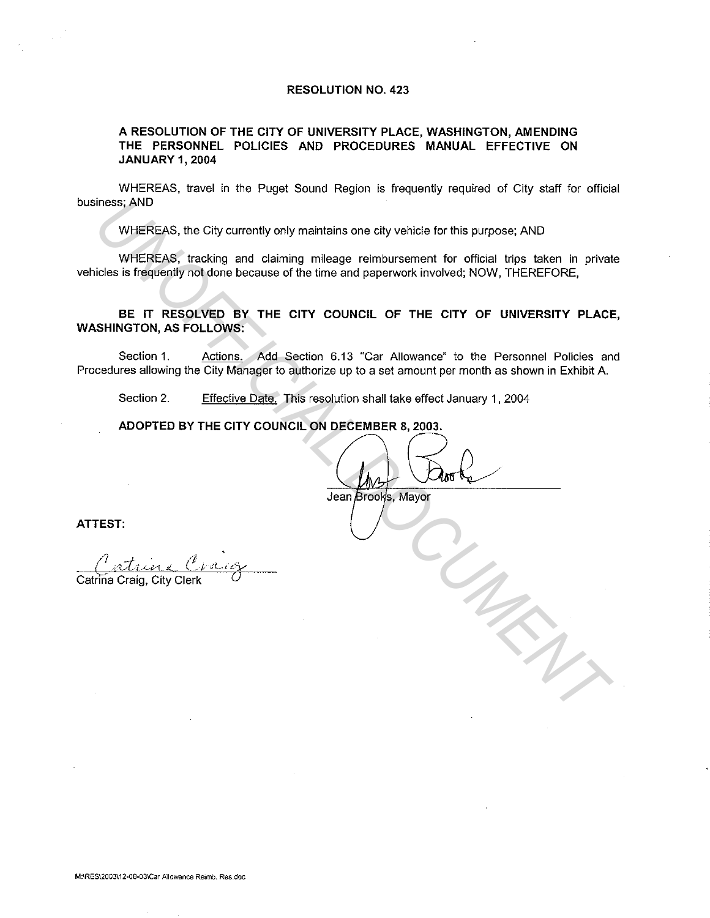## **RESOLUTION NO. 423**

## **A RESOLUTION OF THE CITY OF UNIVERSITY PLACE, WASHINGTON, AMENDING THE PERSONNEL POLICIES AND PROCEDURES MANUAL EFFECTIVE ON JANUARY 1, 2004**

WHEREAS, travel in the Puget Sound Region is frequently required of City staff for official business; AND

WHEREAS, the City currently only maintains one city vehicle for this purpose; AND

WHEREAS, tracking and claiming mileage reimbursement for official trips taken in private vehicles is frequently not done because of the time and paperwork involved; NOW, THEREFORE,

**BE IT RESOLVED BY THE CITY COUNCIL OF THE CITY OF UNIVERSITY PLACE, WASHINGTON, AS FOLLOWS:**  These; AND<br>
WHEREAS, the City currently only maintains one city vehicle for this purpose: AND<br>
WHEREAS, tracking and claiming mileage rombursement for official trips taken in prival<br>
USE is frequently not done because of t

Section 1. Actions. Add Section 6.13 "Car Allowance" to the Personnel Policies and Procedures allowing the City Manager to authorize up to a set amount per month as shown in Exhibit A.

Section 2. Effective Date. This resolution shall take effect January 1, 2004

**ATTEST:** 

Catrina Craig, City Clerk